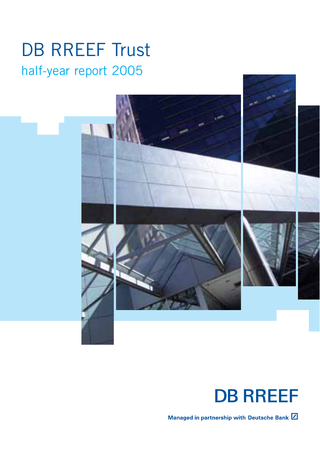## DB RREEF Trust half-year report 2005





Managed in partnership with Deutsche Bank  $\boxed{Z}$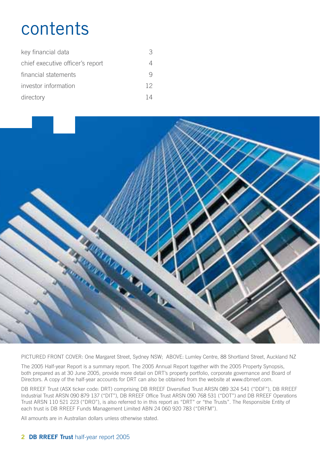## contents

| key financial data               |    |
|----------------------------------|----|
| chief executive officer's report |    |
| financial statements             |    |
| investor information             | 12 |
| directory                        |    |



PICTURED FRONT COVER: One Margaret Street, Sydney NSW; ABOVE: Lumley Centre, 88 Shortland Street, Auckland NZ

The 2005 Half-year Report is a summary report. The 2005 Annual Report together with the 2005 Property Synopsis, both prepared as at 30 June 2005, provide more detail on DRT's property portfolio, corporate governance and Board of Directors. A copy of the half-year accounts for DRT can also be obtained from the website at www.dbrreef.com.

DB RREEF Trust (ASX ticker code: DRT) comprising DB RREEF Diversified Trust ARSN 089 324 541 ("DDF"), DB RREEF Industrial Trust ARSN 090 879 137 ("DIT"), DB RREEF Office Trust ARSN 090 768 531 ("DOT") and DB RREEF Operations Trust ARSN 110 521 223 ("DRO"), is also referred to in this report as "DRT" or "the Trusts". The Responsible Entity of each trust is DB RREEF Funds Management Limited ABN 24 060 920 783 ("DRFM").

All amounts are in Australian dollars unless otherwise stated.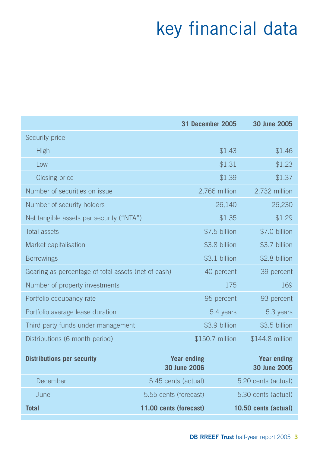# key financial data

|                                                     |                                    | <b>31 December 2005</b> | 30 June 2005                       |
|-----------------------------------------------------|------------------------------------|-------------------------|------------------------------------|
| Security price                                      |                                    |                         |                                    |
| High                                                |                                    | \$1.43                  | \$1.46                             |
| Low                                                 |                                    | \$1.31                  | \$1.23                             |
| Closing price                                       |                                    | \$1.39                  | \$1.37                             |
| Number of securities on issue                       |                                    | 2,766 million           | 2,732 million                      |
| Number of security holders                          |                                    | 26,140                  | 26,230                             |
| Net tangible assets per security ("NTA")            |                                    | \$1.35                  | \$1.29                             |
| <b>Total assets</b>                                 |                                    | \$7.5 billion           | \$7.0 billion                      |
| Market capitalisation                               |                                    | \$3.8 billion           | \$3.7 billion                      |
| <b>Borrowings</b>                                   |                                    | \$3.1 billion           | \$2.8 billion                      |
| Gearing as percentage of total assets (net of cash) |                                    | 40 percent              | 39 percent                         |
| Number of property investments                      |                                    | 175                     | 169                                |
| Portfolio occupancy rate                            |                                    | 95 percent              | 93 percent                         |
| Portfolio average lease duration                    |                                    | 5.4 years               | 5.3 years                          |
| Third party funds under management                  |                                    | \$3.9 billion           | \$3.5 billion                      |
| Distributions (6 month period)                      |                                    | \$150.7 million         | \$144.8 million                    |
| <b>Distributions per security</b>                   | <b>Year ending</b><br>30 June 2006 |                         | <b>Year ending</b><br>30 June 2005 |
| December                                            | 5.45 cents (actual)                |                         | 5.20 cents (actual)                |
| June                                                | 5.55 cents (forecast)              |                         | 5.30 cents (actual)                |
| <b>Total</b>                                        | 11.00 cents (forecast)             |                         | 10.50 cents (actual)               |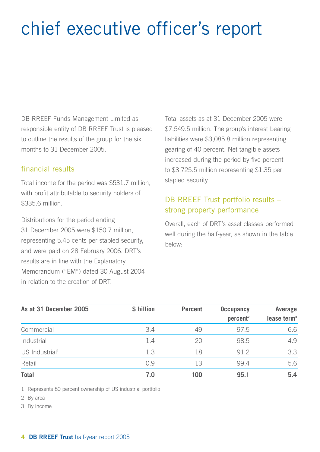# chief executive officer's report

DB RREEF Funds Management Limited as responsible entity of DB RREEF Trust is pleased to outline the results of the group for the six months to 31 December 2005.

## financial results

Total income for the period was \$531.7 million, with profit attributable to security holders of \$335.6 million.

Distributions for the period ending 31 December 2005 were \$150.7 million, representing 5.45 cents per stapled security, and were paid on 28 February 2006. DRT's results are in line with the Explanatory Memorandum ("EM") dated 30 August 2004 in relation to the creation of DRT.

Total assets as at 31 December 2005 were \$7,549.5 million. The group's interest bearing liabilities were \$3,085.8 million representing gearing of 40 percent. Net tangible assets increased during the period by five percent to \$3,725.5 million representing \$1.35 per stapled security.

## DB RREEF Trust portfolio results – strong property performance

Overall, each of DRT's asset classes performed well during the half-year, as shown in the table below:

| As at 31 December 2005       | \$ billion | <b>Percent</b> | Occupancy<br>percent <sup>2</sup> | Average<br>lease term $3$ |
|------------------------------|------------|----------------|-----------------------------------|---------------------------|
| Commercial                   | 3.4        | 49             | 97.5                              | 6.6                       |
| Industrial                   | 1.4        | 20             | 98.5                              | 4.9                       |
| $US$ Industrial <sup>1</sup> | 1.3        | 18             | 91.2                              | 3.3                       |
| Retail                       | 0.9        | 13             | 99.4                              | 5.6                       |
| <b>Total</b>                 | 7.0        | 100            | 95.1                              | 5.4                       |

1 Represents 80 percent ownership of US industrial portfolio

2 By area

3 By income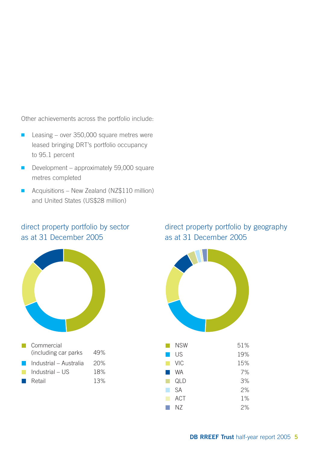Other achievements across the portfolio include:

- Leasing over 350,000 square metres were leased bringing DRT's portfolio occupancy to 95.1 percent
- Development approximately 59,000 square metres completed
- Acquisitions New Zealand (NZ\$110 million) and United States (US\$28 million)

## direct property portfolio by sector as at 31 December 2005



| Commercial             |     |
|------------------------|-----|
| (including car parks)  | 49% |
| Industrial - Australia | 20% |
| Industrial - US        | 18% |
| Retail                 | 13% |

## direct property portfolio by geography as at 31 December 2005

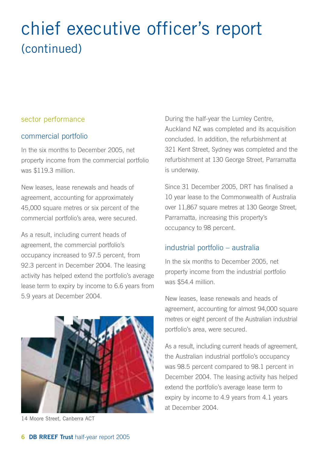## chief executive officer's report (continued)

#### sector performance

### commercial portfolio

In the six months to December 2005, net property income from the commercial portfolio was \$119.3 million.

New leases, lease renewals and heads of agreement, accounting for approximately 45,000 square metres or six percent of the commercial portfolio's area, were secured.

As a result, including current heads of agreement, the commercial portfolio's occupancy increased to 97.5 percent, from 92.3 percent in December 2004. The leasing activity has helped extend the portfolio's average lease term to expiry by income to 6.6 years from 5.9 years at December 2004.



14 Moore Street, Canberra ACT

During the half-year the Lumley Centre, Auckland NZ was completed and its acquisition concluded. In addition, the refurbishment at 321 Kent Street, Sydney was completed and the refurbishment at 130 George Street, Parramatta is underway.

Since 31 December 2005, DRT has finalised a 10 year lease to the Commonwealth of Australia over 11,867 square metres at 130 George Street, Parramatta, increasing this property's occupancy to 98 percent.

### industrial portfolio – australia

In the six months to December 2005, net property income from the industrial portfolio was \$54.4 million.

New leases, lease renewals and heads of agreement, accounting for almost 94,000 square metres or eight percent of the Australian industrial portfolio's area, were secured.

As a result, including current heads of agreement, the Australian industrial portfolio's occupancy was 98.5 percent compared to 98.1 percent in December 2004. The leasing activity has helped extend the portfolio's average lease term to expiry by income to 4.9 years from 4.1 years at December 2004.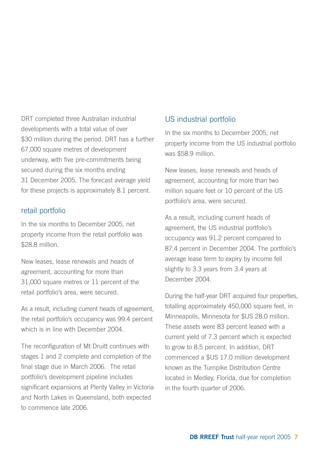DRT completed three Australian industrial developments with a total value of over \$30 million during the period. DRT has a further 67,000 square metres of development underway, with five pre-commitments being secured during the six months ending 31 December 2005. The forecast average yield for these projects is approximately 8.1 percent.

## retail portfolio

In the six months to December 2005, net property income from the retail portfolio was \$28.8 million.

New leases, lease renewals and heads of agreement, accounting for more than 31,000 square metres or 11 percent of the retail portfolio's area, were secured.

As a result, including current heads of agreement, the retail portfolio's occupancy was 99.4 percent which is in line with December 2004.

The reconfiguration of Mt Druitt continues with stages 1 and 2 complete and completion of the final stage due in March 2006. The retail portfolio's development pipeline includes significant expansions at Plenty Valley in Victoria and North Lakes in Queensland, both expected to commence late 2006.

## US industrial portfolio

In the six months to December 2005, net property income from the US industrial portfolio was \$58.9 million.

New leases, lease renewals and heads of agreement, accounting for more than two million square feet or 10 percent of the US portfolio's area, were secured.

As a result, including current heads of agreement, the US industrial portfolio's occupancy was 91.2 percent compared to 87.4 percent in December 2004. The portfolio's average lease term to expiry by income fell slightly to 3.3 years from 3.4 years at December 2004.

During the half-year DRT acquired four properties, totalling approximately 450,000 square feet, in Minneapolis, Minnesota for \$US 28.0 million. These assets were 83 percent leased with a current yield of 7.3 percent which is expected to grow to 8.5 percent. In addition, DRT commenced a \$US 17.0 million development known as the Turnpike Distribution Centre located in Medley, Florida, due for completion in the fourth quarter of 2006.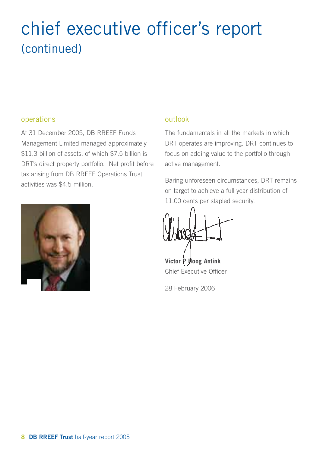## chief executive officer's report (continued)

## operations

At 31 December 2005, DB RREEF Funds Management Limited managed approximately \$11.3 billion of assets, of which \$7.5 billion is DRT's direct property portfolio. Net profit before tax arising from DB RREEF Operations Trust activities was \$4.5 million.



## outlook

The fundamentals in all the markets in which DRT operates are improving. DRT continues to focus on adding value to the portfolio through active management.

Baring unforeseen circumstances, DRT remains on target to achieve a full year distribution of 11.00 cents per stapled security.

**Victor P Hoog Antink** Chief Executive Officer

28 February 2006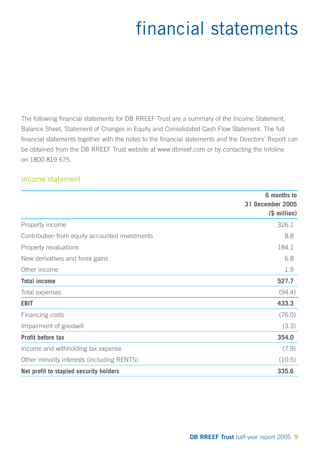# financial statements

The following financial statements for DB RREEF Trust are a summary of the Income Statement, Balance Sheet, Statement of Changes in Equity and Consolidated Cash Flow Statement. The full financial statements together with the notes to the financial statements and the Directors' Report can be obtained from the DB RREEF Trust website at www.dbrreef.com or by contacting the Infoline on 1800 819 675.

## income statement

|                                                | 6 months to                             |
|------------------------------------------------|-----------------------------------------|
|                                                | <b>31 December 2005</b><br>(\$ million) |
| Property income                                | 326.1                                   |
| Contribution from equity accounted investments | 8.8                                     |
| Property revaluations                          | 184.1                                   |
| New derivatives and forex gains                | 6.8                                     |
| Other income                                   | 1.9                                     |
| <b>Total income</b>                            | 527.7                                   |
| Total expenses                                 | (94.4)                                  |
| <b>EBIT</b>                                    | 433.3                                   |
| Financing costs                                | (76.0)                                  |
| Impairment of goodwill                         | (3.3)                                   |
| Profit before tax                              | 354.0                                   |
| Income and withholding tax expense             | (7.9)                                   |
| Other minority interests (including RENTS)     | (10.5)                                  |
| Net profit to stapled security holders         | 335.6                                   |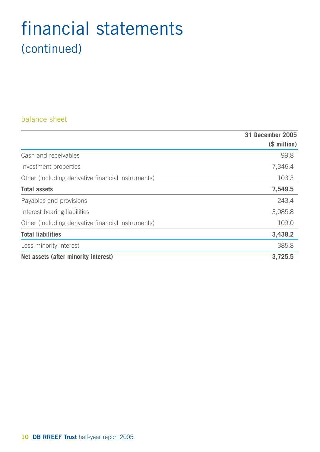## financial statements (continued)

## balance sheet

|                                                    | 31 December 2005 |
|----------------------------------------------------|------------------|
|                                                    | (\$ million)     |
| Cash and receivables                               | 99.8             |
| Investment properties                              | 7,346.4          |
| Other (including derivative financial instruments) | 103.3            |
| <b>Total assets</b>                                | 7,549.5          |
| Payables and provisions                            | 243.4            |
| Interest bearing liabilities                       | 3,085.8          |
| Other (including derivative financial instruments) | 109.0            |
| <b>Total liabilities</b>                           | 3,438.2          |
| Less minority interest                             | 385.8            |
| Net assets (after minority interest)               | 3,725.5          |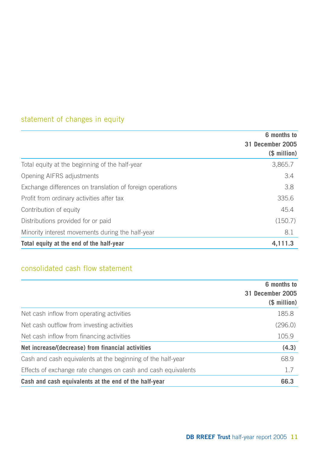## statement of changes in equity

|                                                           | 6 months to      |
|-----------------------------------------------------------|------------------|
|                                                           | 31 December 2005 |
|                                                           | (\$ million)     |
| Total equity at the beginning of the half-year            | 3,865.7          |
| Opening AIFRS adjustments                                 | 3.4              |
| Exchange differences on translation of foreign operations | 3.8              |
| Profit from ordinary activities after tax                 | 335.6            |
| Contribution of equity                                    | 45.4             |
| Distributions provided for or paid                        | (150.7)          |
| Minority interest movements during the half-year          | 8.1              |
| Total equity at the end of the half-year                  | 4,111.3          |

## consolidated cash flow statement

|                                                               | 6 months to<br>31 December 2005<br>(\$ million) |
|---------------------------------------------------------------|-------------------------------------------------|
| Net cash inflow from operating activities                     | 185.8                                           |
| Net cash outflow from investing activities                    | (296.0)                                         |
| Net cash inflow from financing activities                     | 105.9                                           |
| Net increase/(decrease) from financial activities             | (4.3)                                           |
| Cash and cash equivalents at the beginning of the half-year   | 68.9                                            |
| Effects of exchange rate changes on cash and cash equivalents | 1.7                                             |
| Cash and cash equivalents at the end of the half-year         | 66.3                                            |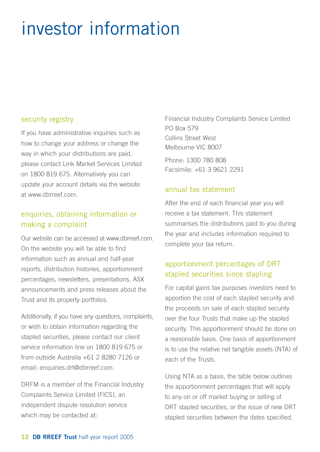# investor information

#### security registry

If you have administrative inquiries such as how to change your address or change the way in which your distributions are paid, please contact Link Market Services Limited on 1800 819 675. Alternatively you can update your account details via the website at www.dbrreef.com.

## enquiries, obtaining information or making a complaint

Our website can be accessed at www.dbrreef.com. On the website you will be able to find information such as annual and half-year reports, distribution histories, apportionment percentages, newsletters, presentations, ASX announcements and press releases about the Trust and its property portfolios.

Additionally, if you have any questions, complaints, or wish to obtain information regarding the stapled securities, please contact our client service information line on 1800 819 675 or from outside Australia +61 2 8280 7126 or email: enquiries.drt@dbrreef.com.

DRFM is a member of the Financial Industry Complaints Service Limited (FICS), an independent dispute resolution service which may be contacted at:

Financial Industry Complaints Service Limited PO Box 579 Collins Street West Melbourne VIC 8007 Phone: 1300 780 808 Facsimile: +61 3 9621 2291

## annual tax statement

After the end of each financial year you will receive a tax statement. This statement summarises the distributions paid to you during the year and includes information required to complete your tax return.

## apportionment percentages of DRT stapled securities since stapling

For capital gains tax purposes investors need to apportion the cost of each stapled security and the proceeds on sale of each stapled security over the four Trusts that make up the stapled security. This apportionment should be done on a reasonable basis. One basis of apportionment is to use the relative net tangible assets (NTA) of each of the Trusts.

Using NTA as a basis, the table below outlines the apportionment percentages that will apply to any on or off market buying or selling of DRT stapled securities, or the issue of new DRT stapled securities between the dates specified.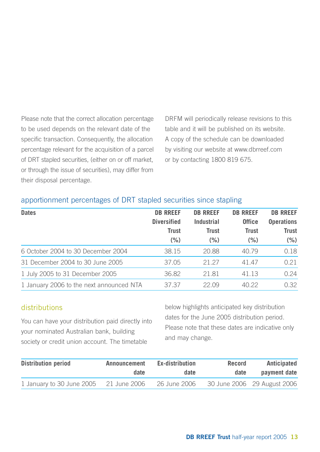Please note that the correct allocation percentage to be used depends on the relevant date of the specific transaction. Consequently, the allocation percentage relevant for the acquisition of a parcel of DRT stapled securities, (either on or off market, or through the issue of securities), may differ from their disposal percentage.

DRFM will periodically release revisions to this table and it will be published on its website. A copy of the schedule can be downloaded by visiting our website at www.dbrreef.com or by contacting 1800 819 675.

## apportionment percentages of DRT stapled securities since stapling

| <b>Dates</b>                             | <b>DB RREEF</b>    | <b>DB RREEF</b> | <b>DB RREEF</b> | <b>DB RREEF</b>   |
|------------------------------------------|--------------------|-----------------|-----------------|-------------------|
|                                          | <b>Diversified</b> | Industrial      | <b>Office</b>   | <b>Operations</b> |
|                                          | <b>Trust</b>       | Trust           | <b>Trust</b>    | <b>Trust</b>      |
|                                          | (% )               | $(\% )$         | (% )            | (% )              |
| 6 October 2004 to 30 December 2004       | 38.15              | 20.88           | 40.79           | 0.18              |
| 31 December 2004 to 30 June 2005         | 37.05              | 21.27           | 41.47           | 0.21              |
| 1 July 2005 to 31 December 2005          | 36.82              | 21.81           | 41.13           | 0.24              |
| 1 January 2006 to the next announced NTA | 37.37              | 22.09           | 40.22           | 0.32              |

## distributions

You can have your distribution paid directly into your nominated Australian bank, building society or credit union account. The timetable

below highlights anticipated key distribution dates for the June 2005 distribution period. Please note that these dates are indicative only and may change.

| <b>Distribution period</b> | Announcement | Ex-distribution | Record | Anticipated                 |
|----------------------------|--------------|-----------------|--------|-----------------------------|
|                            | date         | date            | date   | payment date                |
| 1 January to 30 June 2005  | 21 June 2006 | 26 June 2006    |        | 30 June 2006 29 August 2006 |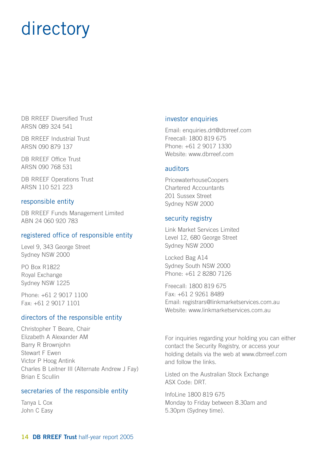# directory

DB RREEF Diversified Trust ARSN 089 324 541

DB RREEF Industrial Trust ARSN 090 879 137

DB RREEF Office Trust ARSN 090 768 531

DB RREEF Operations Trust ARSN 110 521 223

#### responsible entity

DB RREEF Funds Management Limited ABN 24 060 920 783

#### registered office of responsible entity

Level 9, 343 George Street Sydney NSW 2000

PO Box R1822 Royal Exchange Sydney NSW 1225

Phone: +61 2 9017 1100 Fax: +61 2 9017 1101

#### directors of the responsible entity

Christopher T Beare, Chair Elizabeth A Alexander AM Barry R Brownjohn Stewart F Ewen Victor P Hoog Antink Charles B Leitner III (Alternate Andrew J Fay) Brian E Scullin

#### secretaries of the responsible entity

Tanya L Cox John C Easy

#### investor enquiries

Email: enquiries.drt@dbrreef.com Freecall: 1800 819 675 Phone: +61 2 9017 1330 Website: www.dbrreef.com

#### auditors

PricewaterhouseCoopers Chartered Accountants 201 Sussex Street Sydney NSW 2000

#### security registry

Link Market Services Limited Level 12, 680 George Street Sydney NSW 2000

Locked Bag A14 Sydney South NSW 2000 Phone: +61 2 8280 7126

Freecall: 1800 819 675 Fax: +61 2 9261 8489 Email: registrars@linkmarketservices.com.au Website: www.linkmarketservices.com.au

For inquiries regarding your holding you can either contact the Security Registry, or access your holding details via the web at www.dbrreef.com and follow the links.

Listed on the Australian Stock Exchange ASX Code: DRT.

InfoLine 1800 819 675 Monday to Friday between 8.30am and 5.30pm (Sydney time).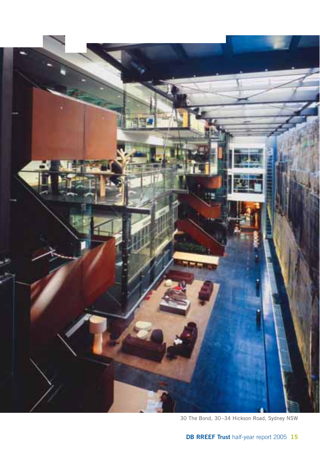

30 The Bond, 30–34 Hickson Road, Sydney NSW